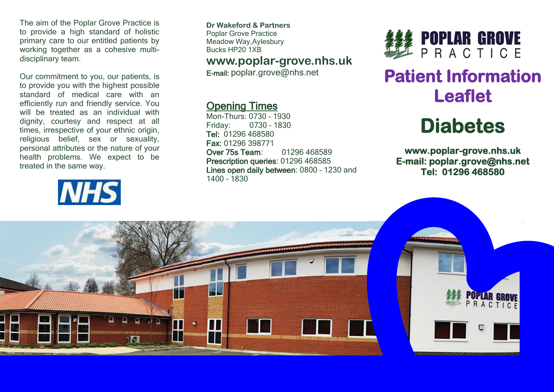The aim of the Poplar Grove Practice is to provide a high standard of holistic primary care to our entitled patients by working together as a cohesive multidisciplinary team.

Our commitment to you, our patients, is to provide you with the highest possible standard of medical care with an efficiently run and friendly service. You will be treated as an individual with dignity, courtesy and respect at all times, irrespective of your ethnic origin, religious belief, sex or sexuality, personal attributes or the nature of your health problems. We expect to be treated in the same way.



**Dr Wakeford & Partners** Poplar Grove Practice Meadow Way,Aylesbury Bucks HP20 1XB

## **www.poplar-grove.nhs.uk**

E-mail: [poplar.grove@nhs.net](mailto:poplar.grove@nhs.net)

# Opening Times

Mon-Thurs: 0730 – 1930 Friday: 0730 – 1830 Tel: 01296 468580 Fax: 01296 398771 Over 75s Team: 01296 468589 Prescription queries: 01296 468585 Lines open daily between: 0800 – 1230 and 1400 – 1830



# **Patient Information Leaflet**

# **Diabetes**

**www.poplar-grove.nhs.uk E-mail: poplar.grove@nhs.net Tel: 01296 468580**